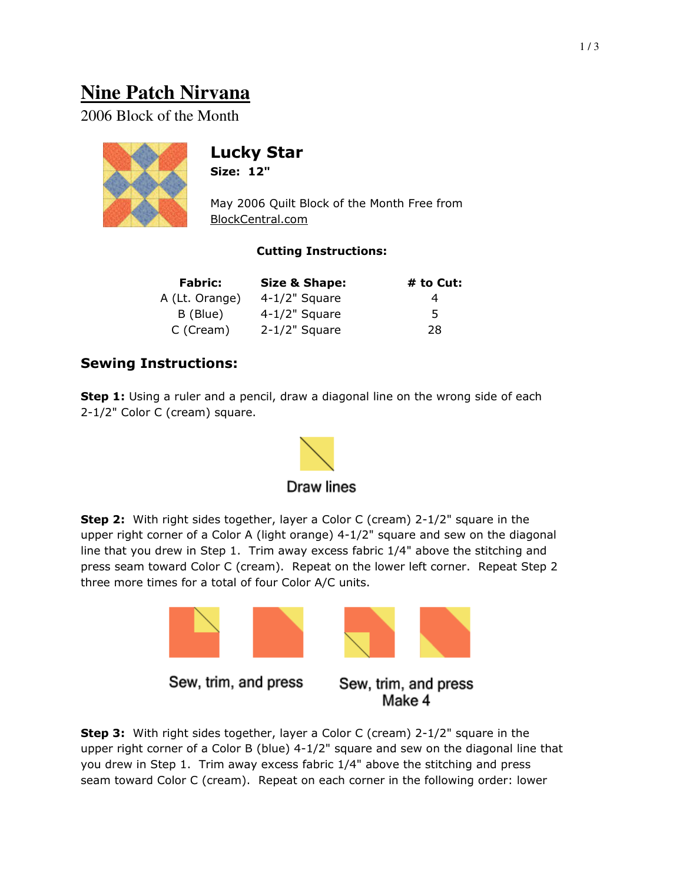# **Nine Patch Nirvana**

2006 Block of the Month



## Lucky Star

Size: 12"

May 2006 Quilt Block of the Month Free from BlockCentral.com

#### Cutting Instructions:

| <b>Fabric:</b> | <b>Size &amp; Shape:</b> | # to Cut: |
|----------------|--------------------------|-----------|
| A (Lt. Orange) | $4-1/2$ " Square         | 4         |
| B (Blue)       | $4-1/2$ " Square         | 5.        |
| C (Cream)      | $2-1/2$ " Square         | 28        |

### Sewing Instructions:

**Step 1:** Using a ruler and a pencil, draw a diagonal line on the wrong side of each 2-1/2" Color C (cream) square.



**Step 2:** With right sides together, layer a Color C (cream) 2-1/2" square in the upper right corner of a Color A (light orange) 4-1/2" square and sew on the diagonal line that you drew in Step 1. Trim away excess fabric 1/4" above the stitching and press seam toward Color C (cream). Repeat on the lower left corner. Repeat Step 2 three more times for a total of four Color A/C units.



**Step 3:** With right sides together, layer a Color C (cream) 2-1/2" square in the upper right corner of a Color B (blue) 4-1/2" square and sew on the diagonal line that you drew in Step 1. Trim away excess fabric 1/4" above the stitching and press seam toward Color C (cream). Repeat on each corner in the following order: lower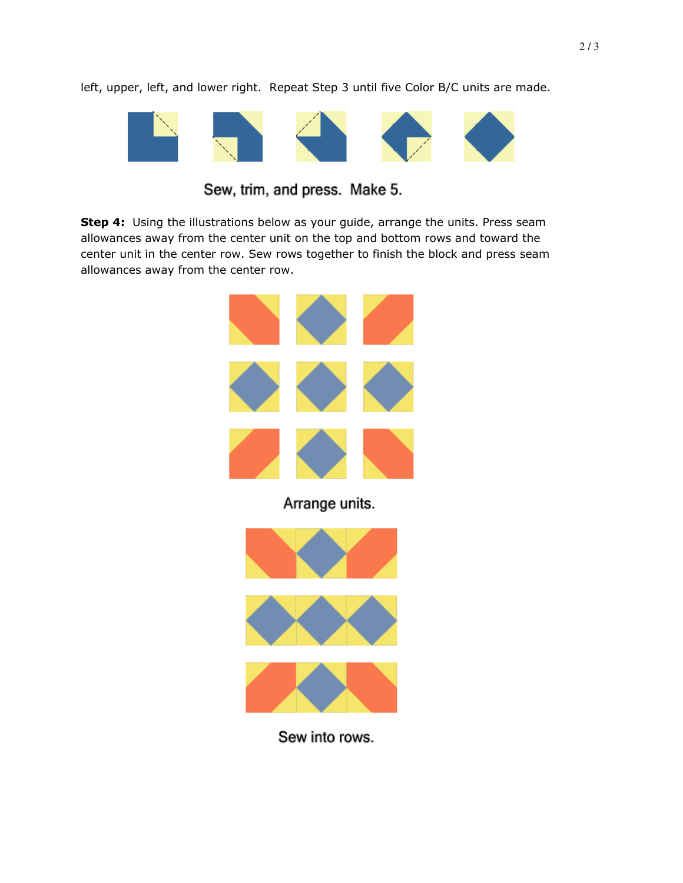left, upper, left, and lower right. Repeat Step 3 until five Color B/C units are made.



Sew, trim, and press. Make 5.

Step 4: Using the illustrations below as your guide, arrange the units. Press seam allowances away from the center unit on the top and bottom rows and toward the center unit in the center row. Sew rows together to finish the block and press seam allowances away from the center row.



Sew into rows.